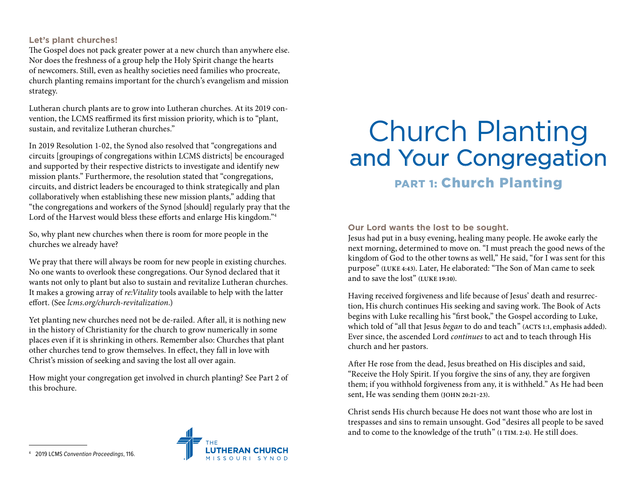#### **Let's plant churches!**

The Gospel does not pack greater power at a new church than anywhere else. Nor does the freshness of a group help the Holy Spirit change the hearts of newcomers. Still, even as healthy societies need families who procreate, church planting remains important for the church's evangelism and mission strategy.

Lutheran church plants are to grow into Lutheran churches. At its 2019 convention, the LCMS reaffirmed its first mission priority, which is to "plant, sustain, and revitalize Lutheran churches."

In 2019 Resolution 1-02, the Synod also resolved that "congregations and circuits [groupings of congregations within LCMS districts] be encouraged and supported by their respective districts to investigate and identify new mission plants." Furthermore, the resolution stated that "congregations, circuits, and district leaders be encouraged to think strategically and plan collaboratively when establishing these new mission plants," adding that "the congregations and workers of the Synod [should] regularly pray that the Lord of the Harvest would bless these efforts and enlarge His kingdom."4

So, why plant new churches when there is room for more people in the churches we already have?

We pray that there will always be room for new people in existing churches. No one wants to overlook these congregations. Our Synod declared that it wants not only to plant but also to sustain and revitalize Lutheran churches. It makes a growing array of *re:Vitality* tools available to help with the latter effort. (See *[lcms.org/church-revitalization](http://lcms.org/church-revitalization).*)

Yet planting new churches need not be de-railed. After all, it is nothing new in the history of Christianity for the church to grow numerically in some places even if it is shrinking in others. Remember also: Churches that plant other churches tend to grow themselves. In effect, they fall in love with Christ's mission of seeking and saving the lost all over again.

How might your congregation get involved in church planting? See Part 2 of this brochure.

# Church Planting and Your Congregation

# PART 1: Church Planting

#### **Our Lord wants the lost to be sought.**

Jesus had put in a busy evening, healing many people. He awoke early the next morning, determined to move on. "I must preach the good news of the kingdom of God to the other towns as well," He said, "for I was sent for this purpose" **(LUKE 4:43)**. Later, He elaborated: "The Son of Man came to seek and to save the lost" **(LUKE 19:10)**.

Having received forgiveness and life because of Jesus' death and resurrection, His church continues His seeking and saving work. The Book of Acts begins with Luke recalling his "first book," the Gospel according to Luke, which told of "all that Jesus *began* to do and teach" **(ACTS 1:1,** emphasis added**)**. Ever since, the ascended Lord *continues* to act and to teach through His church and her pastors.

After He rose from the dead, Jesus breathed on His disciples and said, "Receive the Holy Spirit. If you forgive the sins of any, they are forgiven them; if you withhold forgiveness from any, it is withheld." As He had been sent, He was sending them **(JOHN 20:21–23)**.

Christ sends His church because He does not want those who are lost in trespasses and sins to remain unsought. God "desires all people to be saved and to come to the knowledge of the truth" **(1 TIM. 2:4)**. He still does.